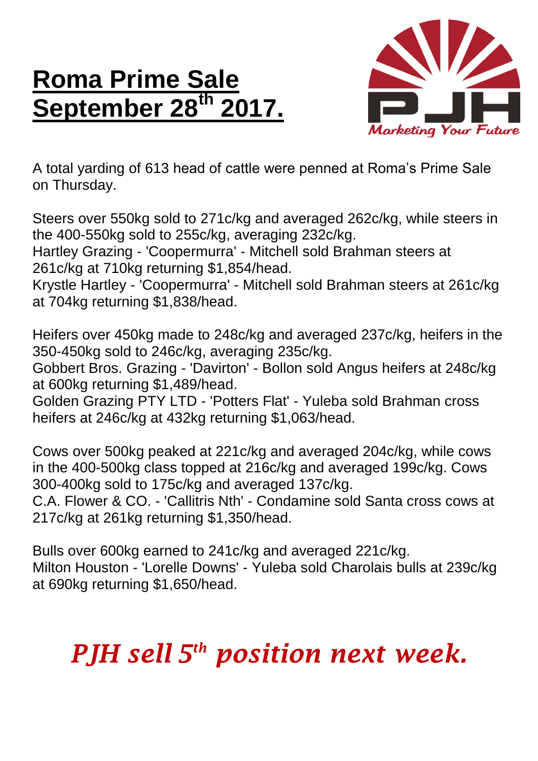## **Roma Prime Sale September 28 th 2017.**



A total yarding of 613 head of cattle were penned at Roma's Prime Sale on Thursday.

Steers over 550kg sold to 271c/kg and averaged 262c/kg, while steers in the 400-550kg sold to 255c/kg, averaging 232c/kg.

Hartley Grazing - 'Coopermurra' - Mitchell sold Brahman steers at 261c/kg at 710kg returning \$1,854/head.

Krystle Hartley - 'Coopermurra' - Mitchell sold Brahman steers at 261c/kg at 704kg returning \$1,838/head.

Heifers over 450kg made to 248c/kg and averaged 237c/kg, heifers in the 350-450kg sold to 246c/kg, averaging 235c/kg.

Gobbert Bros. Grazing - 'Davirton' - Bollon sold Angus heifers at 248c/kg at 600kg returning \$1,489/head.

Golden Grazing PTY LTD - 'Potters Flat' - Yuleba sold Brahman cross heifers at 246c/kg at 432kg returning \$1,063/head.

Cows over 500kg peaked at 221c/kg and averaged 204c/kg, while cows in the 400-500kg class topped at 216c/kg and averaged 199c/kg. Cows 300-400kg sold to 175c/kg and averaged 137c/kg.

C.A. Flower & CO. - 'Callitris Nth' - Condamine sold Santa cross cows at 217c/kg at 261kg returning \$1,350/head.

Bulls over 600kg earned to 241c/kg and averaged 221c/kg. Milton Houston - 'Lorelle Downs' - Yuleba sold Charolais bulls at 239c/kg at 690kg returning \$1,650/head.

## *PJH sell 5 th position next week.*